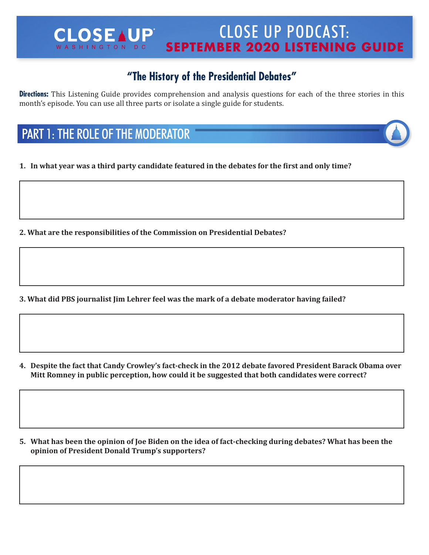#### CLOSE UP PODCAST: **CLOSEAUP SEPTEMBER 2020 LISTENING GUIDE** WASHINGTON DC

## **"The History of the Presidential Debates"**

**Directions:** This Listening Guide provides comprehension and analysis questions for each of the three stories in this month's episode. You can use all three parts or isolate a single guide for students.

# PART 1: THE ROLE OF THE MODERATOR

**1. In what year was a third party candidate featured in the debates for the first and only time?**

**2. What are the responsibilities of the Commission on Presidential Debates?**

**3. What did PBS journalist Jim Lehrer feel was the mark of a debate moderator having failed?**

4. Despite the fact that Candy Crowley's fact-check in the 2012 debate favored President Barack Obama over **Mitt Romney in public perception, how could it be suggested that both candidates were correct?**

5. What has been the opinion of Joe Biden on the idea of fact-checking during debates? What has been the **opinion of President Donald Trump's supporters?**

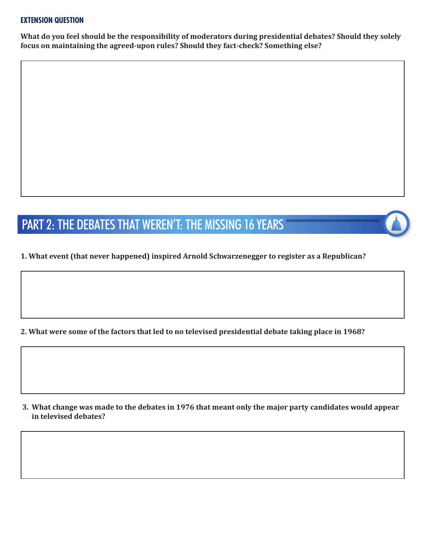#### **EXTENSION QUESTION**

**What do you feel should be the responsibility of moderators during presidential debates? Should they solely focus on maintaining the agreed-upon rules? Should they fact-check? Something else?**

# PART 2: THE DEBATES THAT WEREN'T: THE MISSING 16 YEARS

### **1. What event (that never happened) inspired Arnold Schwarzenegger to register as a Republican?**

2. What were some of the factors that led to no televised presidential debate taking place in 1968?

3. What change was made to the debates in 1976 that meant only the major party candidates would appear **in televised debates?**

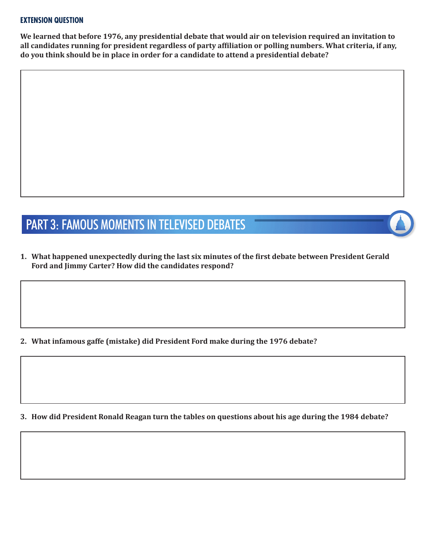#### **EXTENSION QUESTION**

**We learned that before 1976, any presidential debate that would air on television required an invitation to all candidates running for president regardless of party affiliation or polling numbers. What criteria, if any, do you think should be in place in order for a candidate to attend a presidential debate?**

# PART 3: FAMOUS MOMENTS IN TELEVISED DEBATES

**1. What happened unexpectedly during the last six minutes of the first debate between President Gerald Ford and Jimmy Carter? How did the candidates respond?**

**2. What infamous gaffe (mistake) did President Ford make during the 1976 debate?**

**3. How did President Ronald Reagan turn the tables on questions about his age during the 1984 debate?**